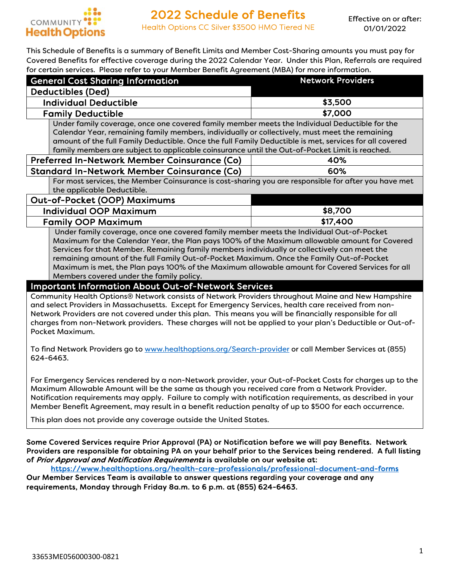

This Schedule of Benefits is a summary of Benefit Limits and Member Cost-Sharing amounts you must pay for Covered Benefits for effective coverage during the 2022 Calendar Year. Under this Plan, Referrals are required for certain services. Please refer to your Member Benefit Agreement (MBA) for more information.

| <b>General Cost Sharing Information</b>                                                                                                                                                                       | <b>Network Providers</b> |  |  |  |
|---------------------------------------------------------------------------------------------------------------------------------------------------------------------------------------------------------------|--------------------------|--|--|--|
| <b>Deductibles (Ded)</b>                                                                                                                                                                                      |                          |  |  |  |
| <b>Individual Deductible</b>                                                                                                                                                                                  | \$3,500                  |  |  |  |
| <b>Family Deductible</b>                                                                                                                                                                                      | \$7,000                  |  |  |  |
| Under family coverage, once one covered family member meets the Individual Deductible for the                                                                                                                 |                          |  |  |  |
| Calendar Year, remaining family members, individually or collectively, must meet the remaining                                                                                                                |                          |  |  |  |
| amount of the full Family Deductible. Once the full Family Deductible is met, services for all covered                                                                                                        |                          |  |  |  |
| family members are subject to applicable coinsurance until the Out-of-Pocket Limit is reached.                                                                                                                |                          |  |  |  |
| <b>Preferred In-Network Member Coinsurance (Co)</b>                                                                                                                                                           | 40%                      |  |  |  |
| <b>Standard In-Network Member Coinsurance (Co)</b>                                                                                                                                                            | 60%                      |  |  |  |
| For most services, the Member Coinsurance is cost-sharing you are responsible for after you have met                                                                                                          |                          |  |  |  |
| the applicable Deductible.                                                                                                                                                                                    |                          |  |  |  |
| <b>Out-of-Pocket (OOP) Maximums</b>                                                                                                                                                                           |                          |  |  |  |
| <b>Individual OOP Maximum</b>                                                                                                                                                                                 | \$8,700                  |  |  |  |
| <b>Family OOP Maximum</b>                                                                                                                                                                                     | \$17,400                 |  |  |  |
| Under family coverage, once one covered family member meets the Individual Out-of-Pocket                                                                                                                      |                          |  |  |  |
| Maximum for the Calendar Year, the Plan pays 100% of the Maximum allowable amount for Covered                                                                                                                 |                          |  |  |  |
| Services for that Member. Remaining family members individually or collectively can meet the                                                                                                                  |                          |  |  |  |
| remaining amount of the full Family Out-of-Pocket Maximum. Once the Family Out-of-Pocket                                                                                                                      |                          |  |  |  |
| Maximum is met, the Plan pays 100% of the Maximum allowable amount for Covered Services for all                                                                                                               |                          |  |  |  |
| Members covered under the family policy.                                                                                                                                                                      |                          |  |  |  |
| <b>Important Information About Out-of-Network Services</b>                                                                                                                                                    |                          |  |  |  |
| Community Health Options® Network consists of Network Providers throughout Maine and New Hampshire                                                                                                            |                          |  |  |  |
| and select Providers in Massachusetts. Except for Emergency Services, health care received from non-                                                                                                          |                          |  |  |  |
| Network Providers are not covered under this plan. This means you will be financially responsible for all                                                                                                     |                          |  |  |  |
| charges from non-Network providers. These charges will not be applied to your plan's Deductible or Out-of-                                                                                                    |                          |  |  |  |
| Pocket Maximum.                                                                                                                                                                                               |                          |  |  |  |
|                                                                                                                                                                                                               |                          |  |  |  |
| To find Network Providers go to www.healthoptions.org/Search-provider or call Member Services at (855)                                                                                                        |                          |  |  |  |
| 624-6463.                                                                                                                                                                                                     |                          |  |  |  |
|                                                                                                                                                                                                               |                          |  |  |  |
| For Emergency Services rendered by a non-Network provider, your Out-of-Pocket Costs for charges up to the                                                                                                     |                          |  |  |  |
| Maximum Allowable Amount will be the same as though you received care from a Network Provider.<br>Notification requirements may apply. Eqilure to comply with potification requirements, as described in your |                          |  |  |  |

Notification requirements may apply. Failure to comply with notification requirements, as described in your Member Benefit Agreement, may result in a benefit reduction penalty of up to \$500 for each occurrence.

This plan does not provide any coverage outside the United States.

Some Covered Services require Prior Approval (PA) or Notification before we will pay Benefits. Network Providers are responsible for obtaining PA on your behalf prior to the Services being rendered. A full listing of Prior Approval and Notification Requirements is available on our website at:

https://www.healthoptions.org/health-care-professionals/professional-document-and-forms Our Member Services Team is available to answer questions regarding your coverage and any requirements, Monday through Friday 8a.m. to 6 p.m. at (855) 624-6463.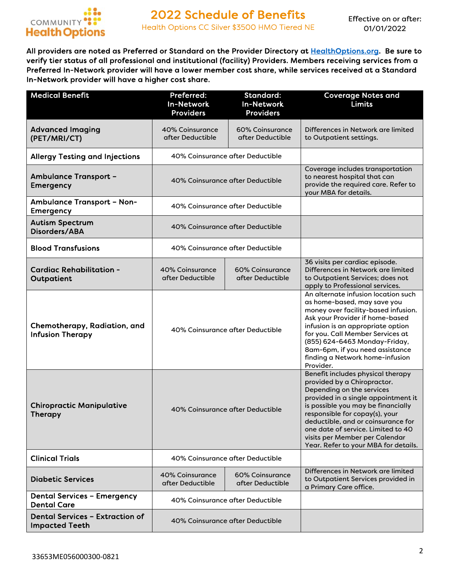

All providers are noted as Preferred or Standard on the Provider Directory at HealthOptions.org. Be sure to verify tier status of all professional and institutional (facility) Providers. Members receiving services from a Preferred In-Network provider will have a lower member cost share, while services received at a Standard In-Network provider will have a higher cost share.

| <b>Medical Benefit</b>                                          | Preferred:<br><b>In-Network</b><br><b>Providers</b> | <b>Standard:</b><br><b>In-Network</b><br><b>Providers</b> | <b>Coverage Notes and</b><br><b>Limits</b>                                                                                                                                                                                                                                                                                                                         |
|-----------------------------------------------------------------|-----------------------------------------------------|-----------------------------------------------------------|--------------------------------------------------------------------------------------------------------------------------------------------------------------------------------------------------------------------------------------------------------------------------------------------------------------------------------------------------------------------|
| <b>Advanced Imaging</b><br>(PET/MRI/CT)                         | 40% Coinsurance<br>after Deductible                 | 60% Coinsurance<br>after Deductible                       | Differences in Network are limited<br>to Outpatient settings.                                                                                                                                                                                                                                                                                                      |
| <b>Allergy Testing and Injections</b>                           |                                                     | 40% Coinsurance after Deductible                          |                                                                                                                                                                                                                                                                                                                                                                    |
| <b>Ambulance Transport -</b><br><b>Emergency</b>                | 40% Coinsurance after Deductible                    |                                                           | Coverage includes transportation<br>to nearest hospital that can<br>provide the required care. Refer to<br>your MBA for details.                                                                                                                                                                                                                                   |
| <b>Ambulance Transport - Non-</b><br><b>Emergency</b>           |                                                     | 40% Coinsurance after Deductible                          |                                                                                                                                                                                                                                                                                                                                                                    |
| <b>Autism Spectrum</b><br>Disorders/ABA                         |                                                     | 40% Coinsurance after Deductible                          |                                                                                                                                                                                                                                                                                                                                                                    |
| <b>Blood Transfusions</b>                                       |                                                     | 40% Coinsurance after Deductible                          |                                                                                                                                                                                                                                                                                                                                                                    |
| <b>Cardiac Rehabilitation -</b><br>Outpatient                   | 40% Coinsurance<br>after Deductible                 | 60% Coinsurance<br>after Deductible                       | 36 visits per cardiac episode.<br>Differences in Network are limited<br>to Outpatient Services; does not<br>apply to Professional services.                                                                                                                                                                                                                        |
| Chemotherapy, Radiation, and<br><b>Infusion Therapy</b>         | 40% Coinsurance after Deductible                    |                                                           | An alternate infusion location such<br>as home-based, may save you<br>money over facility-based infusion.<br>Ask your Provider if home-based<br>infusion is an appropriate option<br>for you. Call Member Services at<br>(855) 624-6463 Monday-Friday,<br>8am-6pm, if you need assistance<br>finding a Network home-infusion<br>Provider.                          |
| <b>Chiropractic Manipulative</b><br><b>Therapy</b>              | 40% Coinsurance after Deductible                    |                                                           | Benefit includes physical therapy<br>provided by a Chiropractor.<br>Depending on the services<br>provided in a single appointment it<br>is possible you may be financially<br>responsible for copay(s), your<br>deductible, and or coinsurance for<br>one date of service. Limited to 40<br>visits per Member per Calendar<br>Year. Refer to your MBA for details. |
| <b>Clinical Trials</b>                                          | 40% Coinsurance after Deductible                    |                                                           |                                                                                                                                                                                                                                                                                                                                                                    |
| <b>Diabetic Services</b>                                        | 40% Coinsurance<br>after Deductible                 | 60% Coinsurance<br>after Deductible                       | Differences in Network are limited<br>to Outpatient Services provided in<br>a Primary Care office.                                                                                                                                                                                                                                                                 |
| <b>Dental Services - Emergency</b><br><b>Dental Care</b>        | 40% Coinsurance after Deductible                    |                                                           |                                                                                                                                                                                                                                                                                                                                                                    |
| <b>Dental Services - Extraction of</b><br><b>Impacted Teeth</b> | 40% Coinsurance after Deductible                    |                                                           |                                                                                                                                                                                                                                                                                                                                                                    |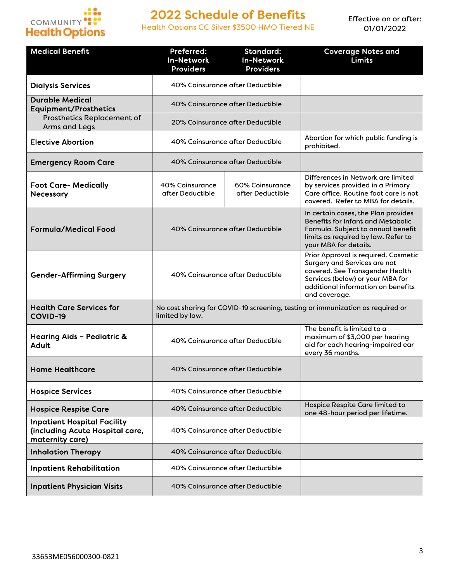

Health Options CC Silver \$3500 HMO Tiered NE

| <b>Medical Benefit</b>                                                                   | Preferred:<br><b>In-Network</b><br><b>Providers</b>                                               | <b>Standard:</b><br><b>In-Network</b><br><b>Providers</b> | <b>Coverage Notes and</b><br><b>Limits</b>                                                                                                                                                         |
|------------------------------------------------------------------------------------------|---------------------------------------------------------------------------------------------------|-----------------------------------------------------------|----------------------------------------------------------------------------------------------------------------------------------------------------------------------------------------------------|
| <b>Dialysis Services</b>                                                                 | 40% Coinsurance after Deductible                                                                  |                                                           |                                                                                                                                                                                                    |
| <b>Durable Medical</b><br><b>Equipment/Prosthetics</b>                                   |                                                                                                   | 40% Coinsurance after Deductible                          |                                                                                                                                                                                                    |
| Prosthetics Replacement of<br><b>Arms and Legs</b>                                       |                                                                                                   | 20% Coinsurance after Deductible                          |                                                                                                                                                                                                    |
| <b>Elective Abortion</b>                                                                 |                                                                                                   | 40% Coinsurance after Deductible                          | Abortion for which public funding is<br>prohibited.                                                                                                                                                |
| <b>Emergency Room Care</b>                                                               |                                                                                                   | 40% Coinsurance after Deductible                          |                                                                                                                                                                                                    |
| <b>Foot Care- Medically</b><br><b>Necessary</b>                                          | 40% Coinsurance<br>after Deductible                                                               | 60% Coinsurance<br>after Deductible                       | Differences in Network are limited<br>by services provided in a Primary<br>Care office. Routine foot care is not<br>covered. Refer to MBA for details.                                             |
| <b>Formula/Medical Food</b>                                                              | 40% Coinsurance after Deductible                                                                  |                                                           | In certain cases, the Plan provides<br><b>Benefits for Infant and Metabolic</b><br>Formula. Subject to annual benefit<br>limits as required by law. Refer to<br>your MBA for details.              |
| <b>Gender-Affirming Surgery</b>                                                          | 40% Coinsurance after Deductible                                                                  |                                                           | Prior Approval is required. Cosmetic<br>Surgery and Services are not<br>covered. See Transgender Health<br>Services (below) or your MBA for<br>additional information on benefits<br>and coverage. |
| <b>Health Care Services for</b><br><b>COVID-19</b>                                       | No cost sharing for COVID-19 screening, testing or immunization as required or<br>limited by law. |                                                           |                                                                                                                                                                                                    |
| Hearing Aids - Pediatric &<br><b>Adult</b>                                               | 40% Coinsurance after Deductible                                                                  |                                                           | The benefit is limited to a<br>maximum of \$3,000 per hearing<br>aid for each hearing-impaired ear<br>every 36 months.                                                                             |
| <b>Home Healthcare</b>                                                                   | 40% Coinsurance after Deductible                                                                  |                                                           |                                                                                                                                                                                                    |
| <b>Hospice Services</b>                                                                  | 40% Coinsurance after Deductible                                                                  |                                                           |                                                                                                                                                                                                    |
| <b>Hospice Respite Care</b>                                                              | 40% Coinsurance after Deductible                                                                  |                                                           | Hospice Respite Care limited to<br>one 48-hour period per lifetime.                                                                                                                                |
| <b>Inpatient Hospital Facility</b><br>(including Acute Hospital care,<br>maternity care) | 40% Coinsurance after Deductible                                                                  |                                                           |                                                                                                                                                                                                    |
| <b>Inhalation Therapy</b>                                                                | 40% Coinsurance after Deductible                                                                  |                                                           |                                                                                                                                                                                                    |
| <b>Inpatient Rehabilitation</b>                                                          | 40% Coinsurance after Deductible                                                                  |                                                           |                                                                                                                                                                                                    |
| <b>Inpatient Physician Visits</b>                                                        | 40% Coinsurance after Deductible                                                                  |                                                           |                                                                                                                                                                                                    |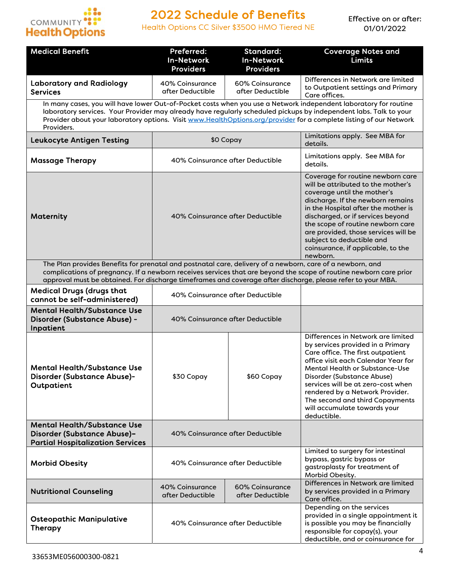

Health Options CC Silver \$3500 HMO Tiered NE

| <b>Medical Benefit</b>                                                                                                                                                                                                                                                                                                                         | Preferred:<br><b>In-Network</b><br><b>Providers</b>                        | <b>Standard:</b><br><b>In-Network</b><br><b>Providers</b> | <b>Coverage Notes and</b><br><b>Limits</b>                                                                                                                                                                                                                                                                                                                                          |  |
|------------------------------------------------------------------------------------------------------------------------------------------------------------------------------------------------------------------------------------------------------------------------------------------------------------------------------------------------|----------------------------------------------------------------------------|-----------------------------------------------------------|-------------------------------------------------------------------------------------------------------------------------------------------------------------------------------------------------------------------------------------------------------------------------------------------------------------------------------------------------------------------------------------|--|
| <b>Laboratory and Radiology</b><br><b>Services</b>                                                                                                                                                                                                                                                                                             | 40% Coinsurance<br>after Deductible                                        | 60% Coinsurance<br>after Deductible                       | Differences in Network are limited<br>to Outpatient settings and Primary<br>Care offices.                                                                                                                                                                                                                                                                                           |  |
| Providers.                                                                                                                                                                                                                                                                                                                                     |                                                                            |                                                           | In many cases, you will have lower Out-of-Pocket costs when you use a Network independent laboratory for routine<br>laboratory services. Your Provider may already have regularly scheduled pickups by independent labs. Talk to your<br>Provider about your laboratory options. Visit www.HealthOptions.org/provider for a complete listing of our Network                         |  |
| <b>Leukocyte Antigen Testing</b>                                                                                                                                                                                                                                                                                                               |                                                                            | \$0 Copay                                                 | Limitations apply. See MBA for<br>details.                                                                                                                                                                                                                                                                                                                                          |  |
| <b>Massage Therapy</b>                                                                                                                                                                                                                                                                                                                         |                                                                            | 40% Coinsurance after Deductible                          | Limitations apply. See MBA for<br>details.                                                                                                                                                                                                                                                                                                                                          |  |
| <b>Maternity</b>                                                                                                                                                                                                                                                                                                                               | 40% Coinsurance after Deductible                                           |                                                           | Coverage for routine newborn care<br>will be attributed to the mother's<br>coverage until the mother's<br>discharge. If the newborn remains<br>in the Hospital after the mother is<br>discharged, or if services beyond<br>the scope of routine newborn care<br>are provided, those services will be<br>subject to deductible and<br>coinsurance, if applicable, to the<br>newborn. |  |
| The Plan provides Benefits for prenatal and postnatal care, delivery of a newborn, care of a newborn, and<br>complications of pregnancy. If a newborn receives services that are beyond the scope of routine newborn care prior<br>approval must be obtained. For discharge timeframes and coverage after discharge, please refer to your MBA. |                                                                            |                                                           |                                                                                                                                                                                                                                                                                                                                                                                     |  |
| <b>Medical Drugs (drugs that</b><br>cannot be self-administered)                                                                                                                                                                                                                                                                               | 40% Coinsurance after Deductible                                           |                                                           |                                                                                                                                                                                                                                                                                                                                                                                     |  |
| <b>Mental Health/Substance Use</b><br>Disorder (Substance Abuse) -<br>Inpatient                                                                                                                                                                                                                                                                | 40% Coinsurance after Deductible                                           |                                                           |                                                                                                                                                                                                                                                                                                                                                                                     |  |
| <b>Mental Health/Substance Use</b><br>Disorder (Substance Abuse)-<br>Outpatient                                                                                                                                                                                                                                                                | \$30 Copay                                                                 | \$60 Copay                                                | Differences in Network are limited<br>by services provided in a Primary<br>Care office. The first outpatient<br>office visit each Calendar Year for<br>Mental Health or Substance-Use<br>Disorder (Substance Abuse)<br>services will be at zero-cost when<br>rendered by a Network Provider.<br>The second and third Copayments<br>will accumulate towards your<br>deductible.      |  |
| <b>Mental Health/Substance Use</b><br>Disorder (Substance Abuse)-<br><b>Partial Hospitalization Services</b>                                                                                                                                                                                                                                   | 40% Coinsurance after Deductible                                           |                                                           |                                                                                                                                                                                                                                                                                                                                                                                     |  |
| <b>Morbid Obesity</b>                                                                                                                                                                                                                                                                                                                          | 40% Coinsurance after Deductible                                           |                                                           | Limited to surgery for intestinal<br>bypass, gastric bypass or<br>gastroplasty for treatment of<br>Morbid Obesity.                                                                                                                                                                                                                                                                  |  |
| <b>Nutritional Counseling</b>                                                                                                                                                                                                                                                                                                                  | 40% Coinsurance<br>60% Coinsurance<br>after Deductible<br>after Deductible |                                                           | Differences in Network are limited<br>by services provided in a Primary<br>Care office.                                                                                                                                                                                                                                                                                             |  |
| <b>Osteopathic Manipulative</b><br><b>Therapy</b>                                                                                                                                                                                                                                                                                              | 40% Coinsurance after Deductible                                           |                                                           | Depending on the services<br>provided in a single appointment it<br>is possible you may be financially<br>responsible for copay(s), your<br>deductible, and or coinsurance for                                                                                                                                                                                                      |  |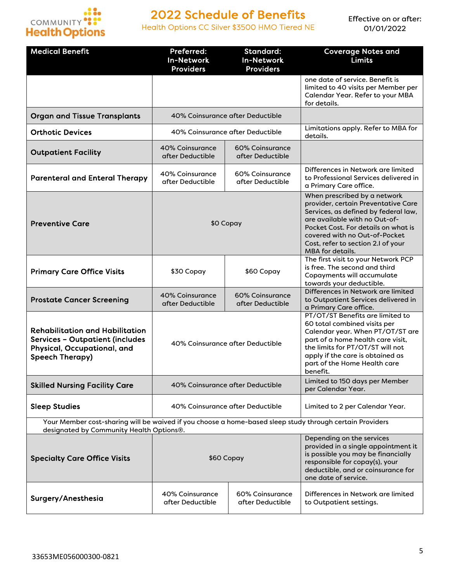

Health Options CC Silver \$3500 HMO Tiered NE

| <b>Medical Benefit</b>                                                                                                                               | Preferred:<br><b>In-Network</b><br><b>Providers</b> | <b>Standard:</b><br><b>In-Network</b><br><b>Providers</b> | <b>Coverage Notes and</b><br><b>Limits</b>                                                                                                                                                                                                                                     |
|------------------------------------------------------------------------------------------------------------------------------------------------------|-----------------------------------------------------|-----------------------------------------------------------|--------------------------------------------------------------------------------------------------------------------------------------------------------------------------------------------------------------------------------------------------------------------------------|
|                                                                                                                                                      |                                                     |                                                           | one date of service. Benefit is<br>limited to 40 visits per Member per<br>Calendar Year. Refer to your MBA<br>for details.                                                                                                                                                     |
| <b>Organ and Tissue Transplants</b>                                                                                                                  |                                                     | 40% Coinsurance after Deductible                          |                                                                                                                                                                                                                                                                                |
| <b>Orthotic Devices</b>                                                                                                                              |                                                     | 40% Coinsurance after Deductible                          | Limitations apply. Refer to MBA for<br>details.                                                                                                                                                                                                                                |
| <b>Outpatient Facility</b>                                                                                                                           | 40% Coinsurance<br>after Deductible                 | 60% Coinsurance<br>after Deductible                       |                                                                                                                                                                                                                                                                                |
| <b>Parenteral and Enteral Therapy</b>                                                                                                                | 40% Coinsurance<br>after Deductible                 | 60% Coinsurance<br>after Deductible                       | Differences in Network are limited<br>to Professional Services delivered in<br>a Primary Care office.                                                                                                                                                                          |
| <b>Preventive Care</b>                                                                                                                               | \$0 Copay                                           |                                                           | When prescribed by a network<br>provider, certain Preventative Care<br>Services, as defined by federal law,<br>are available with no Out-of-<br>Pocket Cost. For details on what is<br>covered with no Out-of-Pocket<br>Cost, refer to section 2.I of your<br>MBA for details. |
| <b>Primary Care Office Visits</b>                                                                                                                    | \$30 Copay                                          | \$60 Copay                                                | The first visit to your Network PCP<br>is free. The second and third<br>Copayments will accumulate<br>towards your deductible.                                                                                                                                                 |
| <b>Prostate Cancer Screening</b>                                                                                                                     | 40% Coinsurance<br>after Deductible                 | 60% Coinsurance<br>after Deductible                       | Differences in Network are limited<br>to Outpatient Services delivered in<br>a Primary Care office.                                                                                                                                                                            |
| <b>Rehabilitation and Habilitation</b><br><b>Services - Outpatient (includes</b><br>Physical, Occupational, and<br><b>Speech Therapy)</b>            | 40% Coinsurance after Deductible                    |                                                           | PT/OT/ST Benefits are limited to<br>60 total combined visits per<br>Calendar year. When PT/OT/ST are<br>part of a home health care visit,<br>the limits for PT/OT/ST will not<br>apply if the care is obtained as<br>part of the Home Health care<br>benefit.                  |
| <b>Skilled Nursing Facility Care</b>                                                                                                                 | 40% Coinsurance after Deductible                    |                                                           | Limited to 150 days per Member<br>per Calendar Year.                                                                                                                                                                                                                           |
| <b>Sleep Studies</b>                                                                                                                                 | 40% Coinsurance after Deductible                    |                                                           | Limited to 2 per Calendar Year.                                                                                                                                                                                                                                                |
| Your Member cost-sharing will be waived if you choose a home-based sleep study through certain Providers<br>designated by Community Health Options®. |                                                     |                                                           |                                                                                                                                                                                                                                                                                |
| <b>Specialty Care Office Visits</b>                                                                                                                  | \$60 Copay                                          |                                                           | Depending on the services<br>provided in a single appointment it<br>is possible you may be financially<br>responsible for copay(s), your<br>deductible, and or coinsurance for<br>one date of service.                                                                         |
| Surgery/Anesthesia                                                                                                                                   | 40% Coinsurance<br>after Deductible                 | 60% Coinsurance<br>after Deductible                       | Differences in Network are limited<br>to Outpatient settings.                                                                                                                                                                                                                  |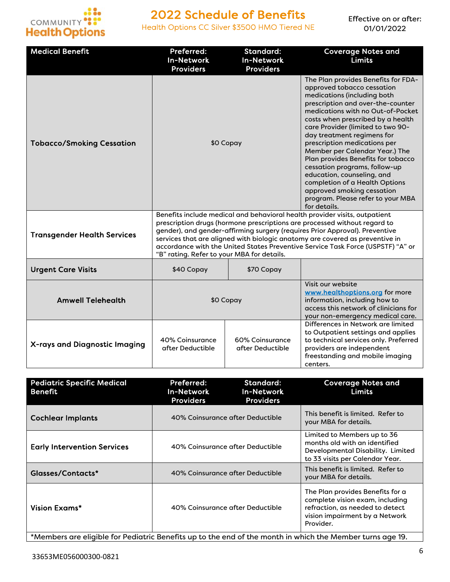

Health Options CC Silver \$3500 HMO Tiered NE

| <b>Medical Benefit</b>             | Preferred:<br><b>In-Network</b><br><b>Providers</b>                                                                                                                                                                                                                                                                                                                                                                                                     | <b>Standard:</b><br><b>In-Network</b><br><b>Providers</b> | <b>Coverage Notes and</b><br><b>Limits</b>                                                                                                                                                                                                                                                                                                                                                                                                                                                                                                                                     |
|------------------------------------|---------------------------------------------------------------------------------------------------------------------------------------------------------------------------------------------------------------------------------------------------------------------------------------------------------------------------------------------------------------------------------------------------------------------------------------------------------|-----------------------------------------------------------|--------------------------------------------------------------------------------------------------------------------------------------------------------------------------------------------------------------------------------------------------------------------------------------------------------------------------------------------------------------------------------------------------------------------------------------------------------------------------------------------------------------------------------------------------------------------------------|
| <b>Tobacco/Smoking Cessation</b>   | \$0 Copay                                                                                                                                                                                                                                                                                                                                                                                                                                               |                                                           | The Plan provides Benefits for FDA-<br>approved tobacco cessation<br>medications (including both<br>prescription and over-the-counter<br>medications with no Out-of-Pocket<br>costs when prescribed by a health<br>care Provider (limited to two 90-<br>day treatment regimens for<br>prescription medications per<br>Member per Calendar Year.) The<br>Plan provides Benefits for tobacco<br>cessation programs, follow-up<br>education, counseling, and<br>completion of a Health Options<br>approved smoking cessation<br>program. Please refer to your MBA<br>for details. |
| <b>Transgender Health Services</b> | Benefits include medical and behavioral health provider visits, outpatient<br>prescription drugs (hormone prescriptions are processed without regard to<br>gender), and gender-affirming surgery (requires Prior Approval). Preventive<br>services that are aligned with biologic anatomy are covered as preventive in<br>accordance with the United States Preventive Service Task Force (USPSTF) "A" or<br>"B" rating. Refer to your MBA for details. |                                                           |                                                                                                                                                                                                                                                                                                                                                                                                                                                                                                                                                                                |
| <b>Urgent Care Visits</b>          | \$40 Copay                                                                                                                                                                                                                                                                                                                                                                                                                                              | \$70 Copay                                                |                                                                                                                                                                                                                                                                                                                                                                                                                                                                                                                                                                                |
| <b>Amwell Telehealth</b>           | \$0 Copay                                                                                                                                                                                                                                                                                                                                                                                                                                               |                                                           | Visit our website<br>www.healthoptions.org for more<br>information, including how to<br>access this network of clinicians for<br>your non-emergency medical care.                                                                                                                                                                                                                                                                                                                                                                                                              |
| X-rays and Diagnostic Imaging      | 40% Coinsurance<br>after Deductible                                                                                                                                                                                                                                                                                                                                                                                                                     | 60% Coinsurance<br>after Deductible                       | Differences in Network are limited<br>to Outpatient settings and applies<br>to technical services only. Preferred<br>providers are independent<br>freestanding and mobile imaging<br>centers.                                                                                                                                                                                                                                                                                                                                                                                  |

| <b>Pediatric Specific Medical</b><br>Benefit                                                              | <b>Preferred:</b><br><b>In-Network</b><br><b>Providers</b> | <b>Standard:</b><br><b>In-Network</b><br><b>Providers</b> | <b>Coverage Notes and</b><br>Limits                                                                                                                   |
|-----------------------------------------------------------------------------------------------------------|------------------------------------------------------------|-----------------------------------------------------------|-------------------------------------------------------------------------------------------------------------------------------------------------------|
| <b>Cochlear Implants</b>                                                                                  |                                                            | 40% Coinsurance after Deductible                          | This benefit is limited. Refer to<br>your MBA for details.                                                                                            |
| <b>Early Intervention Services</b>                                                                        | 40% Coinsurance after Deductible                           |                                                           | Limited to Members up to 36<br>months old with an identified<br>Developmental Disability. Limited<br>to 33 visits per Calendar Year.                  |
| Glasses/Contacts*                                                                                         | 40% Coinsurance after Deductible                           |                                                           | This benefit is limited. Refer to<br>your MBA for details.                                                                                            |
| Vision Exams*                                                                                             | 40% Coinsurance after Deductible                           |                                                           | The Plan provides Benefits for a<br>complete vision exam, including<br>refraction, as needed to detect<br>vision impairment by a Network<br>Provider. |
| *Members are eligible for Pediatric Benefits up to the end of the month in which the Member turns age 19. |                                                            |                                                           |                                                                                                                                                       |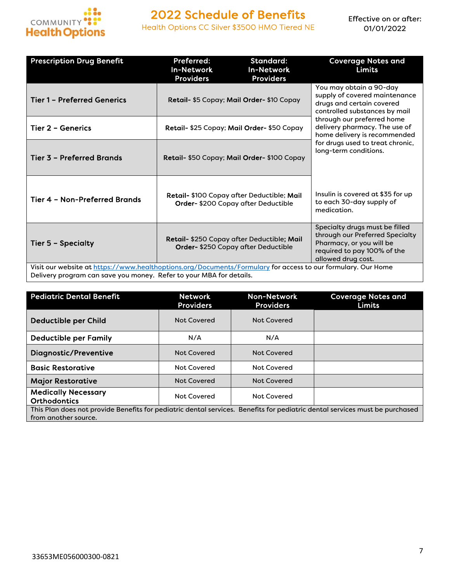

Health Options CC Silver \$3500 HMO Tiered NE

Effective on or after: 01/01/2022

| <b>Prescription Drug Benefit</b>                                                                                                                                           | Preferred:<br><b>In-Network</b><br><b>Providers</b> | <b>Standard:</b><br><b>In-Network</b><br><b>Providers</b>                        | <b>Coverage Notes and</b><br>Limits                                                                                                                |
|----------------------------------------------------------------------------------------------------------------------------------------------------------------------------|-----------------------------------------------------|----------------------------------------------------------------------------------|----------------------------------------------------------------------------------------------------------------------------------------------------|
| <b>Tier 1 - Preferred Generics</b>                                                                                                                                         |                                                     | Retail- \$5 Copay; Mail Order- \$10 Copay                                        | You may obtain a 90-day<br>supply of covered maintenance<br>drugs and certain covered<br>controlled substances by mail                             |
| Tier 2 - Generics                                                                                                                                                          |                                                     | Retail- \$25 Copay; Mail Order- \$50 Copay                                       | through our preferred home<br>delivery pharmacy. The use of<br>home delivery is recommended                                                        |
| Tier 3 - Preferred Brands                                                                                                                                                  | Retail- \$50 Copay; Mail Order- \$100 Copay         |                                                                                  | for drugs used to treat chronic,<br>long-term conditions.                                                                                          |
| Tier 4 - Non-Preferred Brands                                                                                                                                              |                                                     | Retail- \$100 Copay after Deductible; Mail<br>Order-\$200 Copay after Deductible | Insulin is covered at \$35 for up<br>to each 30-day supply of<br>medication.                                                                       |
| Tier 5 - Specialty                                                                                                                                                         |                                                     | Retail- \$250 Copay after Deductible; Mail<br>Order-\$250 Copay after Deductible | Specialty drugs must be filled<br>through our Preferred Specialty<br>Pharmacy, or you will be<br>required to pay 100% of the<br>allowed drug cost. |
| Visit our website at https://www.healthoptions.org/Documents/Formulary for access to our formulary. Our Home<br>canonical construction of the Contractor of ADA Constantin |                                                     |                                                                                  |                                                                                                                                                    |

Delivery program can save you money. Refer to your MBA for details.

| <b>Pediatric Dental Benefit</b>                                                                                                                     | <b>Network</b><br><b>Providers</b> | <b>Non-Network</b><br><b>Providers</b> | <b>Coverage Notes and</b><br><b>Limits</b> |
|-----------------------------------------------------------------------------------------------------------------------------------------------------|------------------------------------|----------------------------------------|--------------------------------------------|
| <b>Deductible per Child</b>                                                                                                                         | Not Covered                        | Not Covered                            |                                            |
| <b>Deductible per Family</b>                                                                                                                        | N/A                                | N/A                                    |                                            |
| <b>Diagnostic/Preventive</b>                                                                                                                        | Not Covered                        | Not Covered                            |                                            |
| <b>Basic Restorative</b>                                                                                                                            | Not Covered                        | <b>Not Covered</b>                     |                                            |
| <b>Major Restorative</b>                                                                                                                            | <b>Not Covered</b>                 | <b>Not Covered</b>                     |                                            |
| <b>Medically Necessary</b><br><b>Orthodontics</b>                                                                                                   | Not Covered                        | Not Covered                            |                                            |
| This Plan does not provide Benefits for pediatric dental services. Benefits for pediatric dental services must be purchased<br>from another source. |                                    |                                        |                                            |